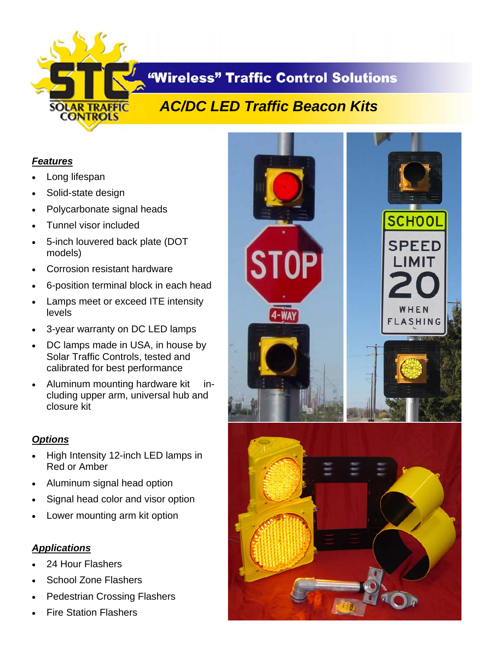

## **"Wireless" Traffic Control Solutions**

# *AC/DC LED Traffic Beacon Kits*

### *Features*

- Long lifespan
- Solid-state design
- Polycarbonate signal heads
- Tunnel visor included
- 5-inch louvered back plate (DOT models)
- Corrosion resistant hardware
- 6-position terminal block in each head
- Lamps meet or exceed ITE intensity levels
- 3-year warranty on DC LED lamps
- DC lamps made in USA, in house by Solar Traffic Controls, tested and calibrated for best performance
- Aluminum mounting hardware kit including upper arm, universal hub and closure kit

### *Options*

- High Intensity 12-inch LED lamps in Red or Amber
- Aluminum signal head option
- Signal head color and visor option
- Lower mounting arm kit option

### *Applications*

- 24 Hour Flashers
- School Zone Flashers
- Pedestrian Crossing Flashers
- Fire Station Flashers